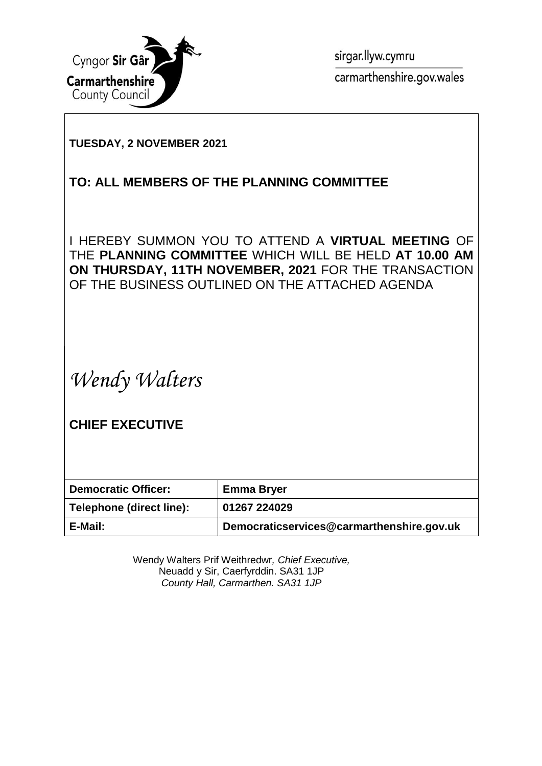

sirgar.llyw.cymru carmarthenshire.gov.wales

### **TUESDAY, 2 NOVEMBER 2021**

## **TO: ALL MEMBERS OF THE PLANNING COMMITTEE**

I HEREBY SUMMON YOU TO ATTEND A **VIRTUAL MEETING** OF THE **PLANNING COMMITTEE** WHICH WILL BE HELD **AT 10.00 AM ON THURSDAY, 11TH NOVEMBER, 2021** FOR THE TRANSACTION OF THE BUSINESS OUTLINED ON THE ATTACHED AGENDA

*Wendy Walters*

**CHIEF EXECUTIVE**

| <b>Democratic Officer:</b> | <b>Emma Bryer</b>                         |
|----------------------------|-------------------------------------------|
| Telephone (direct line):   | 01267 224029                              |
| E-Mail:                    | Democraticservices@carmarthenshire.gov.uk |

Wendy Walters Prif Weithredwr*, Chief Executive,* Neuadd y Sir, Caerfyrddin. SA31 1JP *County Hall, Carmarthen. SA31 1JP*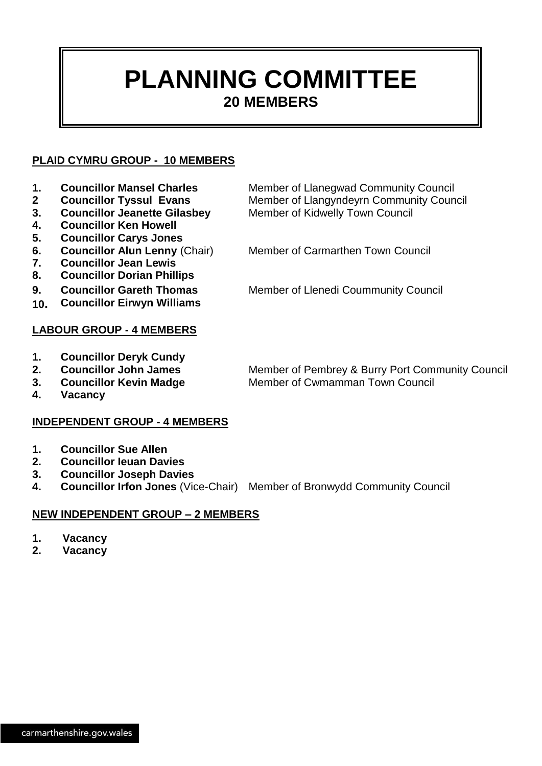## **PLANNING COMMITTEE 20 MEMBERS**

#### **PLAID CYMRU GROUP - 10 MEMBERS**

- 
- 
- **3. Councillor Jeanette Gilasbey** Member of Kidwelly Town Council
- **4. Councillor Ken Howell**
- **5. Councillor Carys Jones**
- **7. Councillor Jean Lewis**
- 
- **8. Councillor Dorian Phillips**
- 
- **10. Councillor Eirwyn Williams**

#### **LABOUR GROUP - 4 MEMBERS**

- **1. Councillor Deryk Cundy**
- 
- 
- **2. Councillor John James** Member of Pembrey & Burry Port Community Council **3. Councillor Kevin Madge Member of Cwmamman Town Council**
- **4. Vacancy**

#### **INDEPENDENT GROUP - 4 MEMBERS**

- **1. Councillor Sue Allen**
- **2. Councillor Ieuan Davies**
- **3. Councillor Joseph Davies**
- **4. Councillor Irfon Jones** (Vice-Chair) Member of Bronwydd Community Council

#### **NEW INDEPENDENT GROUP – 2 MEMBERS**

- **1. Vacancy**
- **2. Vacancy**

1. **Councillor Mansel Charles** Member of Llanegwad Community Council **2 Councillor Tyssul Evans** Member of Llangyndeyrn Community Council

**6. Councillor Alun Lenny** (Chair) Member of Carmarthen Town Council

**9. Councillor Gareth Thomas** Member of Llenedi Coummunity Council